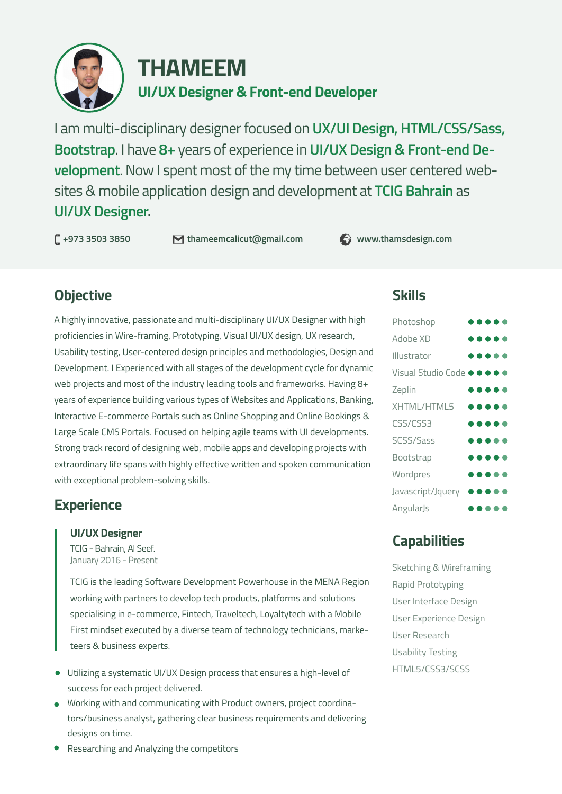

# **UI/UX Designer & Front-end Developer THAMEEM**

I am multi-disciplinary designer focused on **UX/UI Design, HTML/CSS/Sass, Bootstrap**. I have **8+** years of experience in **UI/UX Design & Front-end Development**. Now I spent most of the my time between user centered websites & mobile application design and development at **TCIG Bahrain** as **UI/UX Designer.**

**+973 3503 3850 thameemcalicut@gmail.com www.thamsdesign.com**

# **Objective**

A highly innovative, passionate and multi-disciplinary UI/UX Designer with high proficiencies in Wire-framing, Prototyping, Visual UI/UX design, UX research, Usability testing, User-centered design principles and methodologies, Design and Development. I Experienced with all stages of the development cycle for dynamic web projects and most of the industry leading tools and frameworks. Having 8+ years of experience building various types of Websites and Applications, Banking, Interactive E-commerce Portals such as Online Shopping and Online Bookings & Large Scale CMS Portals. Focused on helping agile teams with UI developments. Strong track record of designing web, mobile apps and developing projects with extraordinary life spans with highly effective written and spoken communication with exceptional problem-solving skills.

# **Experience**

### **UI/UX Designer**

TCIG - Bahrain, Al Seef. January 2016 - Present

TCIG is the leading Software Development Powerhouse in the MENA Region working with partners to develop tech products, platforms and solutions specialising in e-commerce, Fintech, Traveltech, Loyaltytech with a Mobile First mindset executed by a diverse team of technology technicians, marketeers & business experts.

- Utilizing a systematic UI/UX Design process that ensures a high-level of success for each project delivered.
- Working with and communicating with Product owners, project coordinators/business analyst, gathering clear business requirements and delivering designs on time.

**Skills**

| Photoshop                                                    |  |     | . .                     | n |
|--------------------------------------------------------------|--|-----|-------------------------|---|
| Adobe XD                                                     |  | .   |                         |   |
| Illustrator                                                  |  | .   |                         |   |
| Visual Studio Code $\bullet \bullet \bullet \bullet \bullet$ |  |     |                         |   |
| Zeplin                                                       |  | .   |                         |   |
| XHTML/HTML5                                                  |  | .   |                         |   |
| <b>CSS/CSS3</b>                                              |  | .   |                         |   |
| SCSS/Sass                                                    |  |     |                         |   |
| Bootstrap                                                    |  | .   |                         |   |
| Wordpres                                                     |  | .   |                         |   |
| Javascript/Jquery                                            |  |     | $\bullet\bullet\bullet$ |   |
| AngularJs                                                    |  | . . |                         | ۰ |

# **Capabilities**

Sketching & Wireframing Rapid Prototyping User Interface Design User Experience Design User Research Usability Testing HTML5/CSS3/SCSS

● Researching and Analyzing the competitors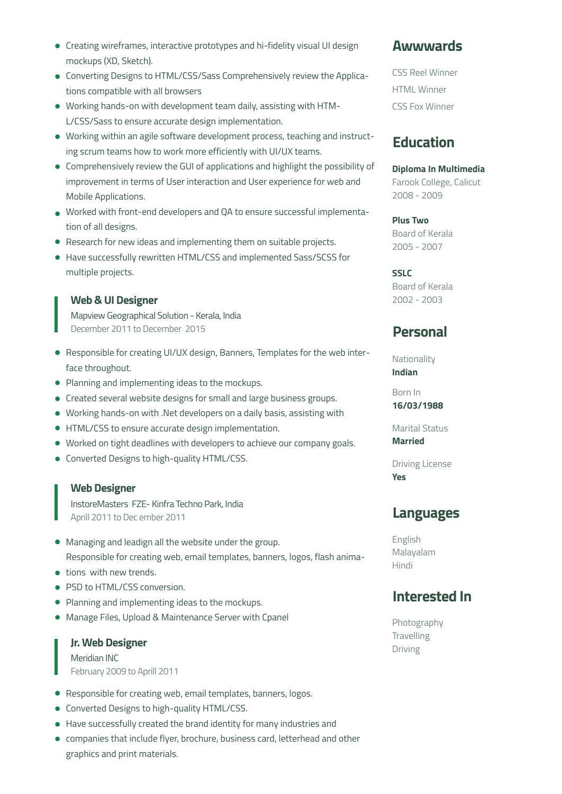- Creating wireframes, interactive prototypes and hi-fidelity visual UI design mockups (XD, Sketch).
- Converting Designs to HTML/CSS/Sass Comprehensively review the Applications compatible with all browsers
- Working hands-on with development team daily, assisting with HTM-L/CSS/Sass to ensure accurate design implementation.
- Working within an agile software development process, teaching and instructing scrum teams how to work more efficiently with UI/UX teams.
- Comprehensively review the GUI of applications and highlight the possibility of improvement in terms of User interaction and User experience for web and Mobile Applications.
- Worked with front-end developers and QA to ensure successful implementation of all designs.
- Research for new ideas and implementing them on suitable projects.
- Have successfully rewritten HTML/CSS and implemented Sass/SCSS for multiple projects.

### **Web & UI Designer**

Mapview Geographical Solution - Kerala, India December 2011 to December 2015

- Responsible for creating UI/UX design, Banners, Templates for the web interface throughout.
- Planning and implementing ideas to the mockups.
- Created several website designs for small and large business groups.
- Working hands-on with .Net developers on a daily basis, assisting with
- HTML/CSS to ensure accurate design implementation.
- Worked on tight deadlines with developers to achieve our company goals.
- Converted Designs to high-quality HTML/CSS.

#### **Web Designer**

InstoreMasters FZE- Kinfra Techno Park, India Aprill 2011 to Dec ember 2011

- Managing and leadign all the website under the group. Responsible for creating web, email templates, banners, logos, flash anima-
- tions with new trends.
- PSD to HTML/CSS conversion.
- Planning and implementing ideas to the mockups.
- Manage Files, Upload & Maintenance Server with Cpanel

### **Jr. Web Designer**

Meridian INC February 2009 to Aprill 2011

- Responsible for creating web, email templates, banners, logos.
- Converted Designs to high-quality HTML/CSS.
- Have successfully created the brand identity for many industries and
- companies that include flyer, brochure, business card, letterhead and other graphics and print materials.

## **Awwwards**

CSS Reel Winner HTML Winner CSS Fox Winner

## **Education**

**Diploma In Multimedia** Farook College, Calicut 2008 - 2009

#### **Plus Two**

Board of Kerala 2005 - 2007

### **SSLC**

Board of Kerala 2002 - 2003

## **Personal**

Nationality **Indian**

Born In **16/03/1988**

Marital Status **Married**

Driving License **Yes**

### **Languages**

English Malayalam Hindi

## **Interested In**

Photography Travelling Driving